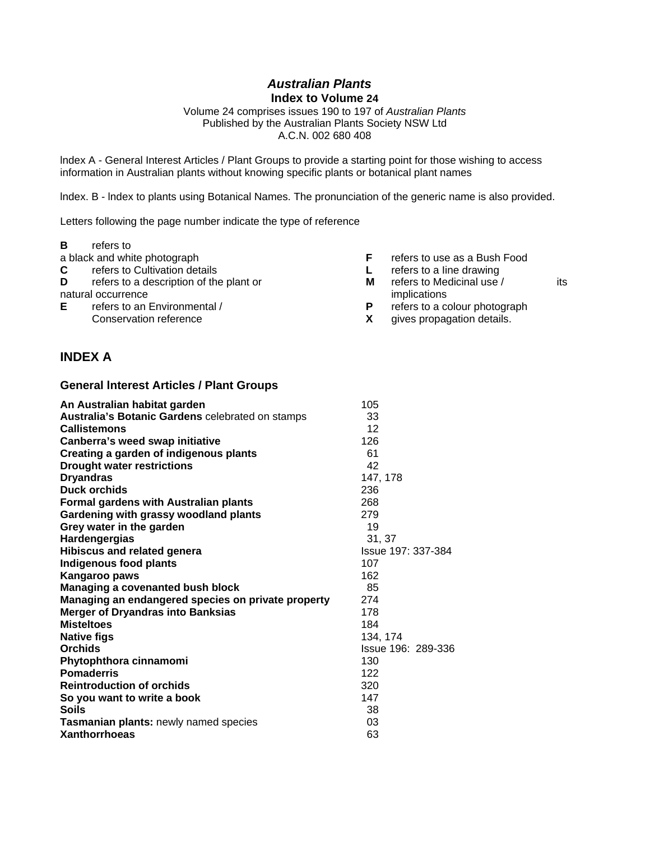## *Australian Plants*  **Index to Volume 24**

Volume 24 comprises issues 190 to 197 of *Australian Plants* Published by the Australian Plants Society NSW Ltd A.C.N. 002 680 408

lndex A - General Interest Articles / Plant Groups to provide a starting point for those wishing to access information in Australian plants without knowing specific plants or botanical plant names

lndex. B - lndex to plants using Botanical Names. The pronunciation of the generic name is also provided.

Letters following the page number indicate the type of reference

| refers to |
|-----------|
|           |

- 
- 
- **C C** refers to Cultivation details **C L** refers to a line drawing<br> **D** refers to a description of the plant or **CCC M C** refers to Medicinal use /

**E** refers to an Environmental / **P** refers to a colour photograph<br>Conservation reference **EX** qives propagation details.

- a black and white photograph **F** refers to use as a Bush Food
	-
- **D D Prefers to a description of the plant or <b>M refers to Medicinal use** / its natural occurrence implications implications
	-
	- gives propagation details.

## **INDEX A**

## **General lnterest Articles / Plant Groups**

| 105                |
|--------------------|
| 33                 |
| 12                 |
| 126                |
| 61                 |
| 42                 |
| 147, 178           |
| 236                |
| 268                |
| 279                |
| 19                 |
| 31.37              |
| Issue 197: 337-384 |
| 107                |
| 162                |
| 85                 |
| 274                |
| 178                |
| 184                |
| 134, 174           |
| Issue 196: 289-336 |
| 130                |
| 122                |
| 320                |
| 147                |
| 38                 |
| 03                 |
| 63                 |
|                    |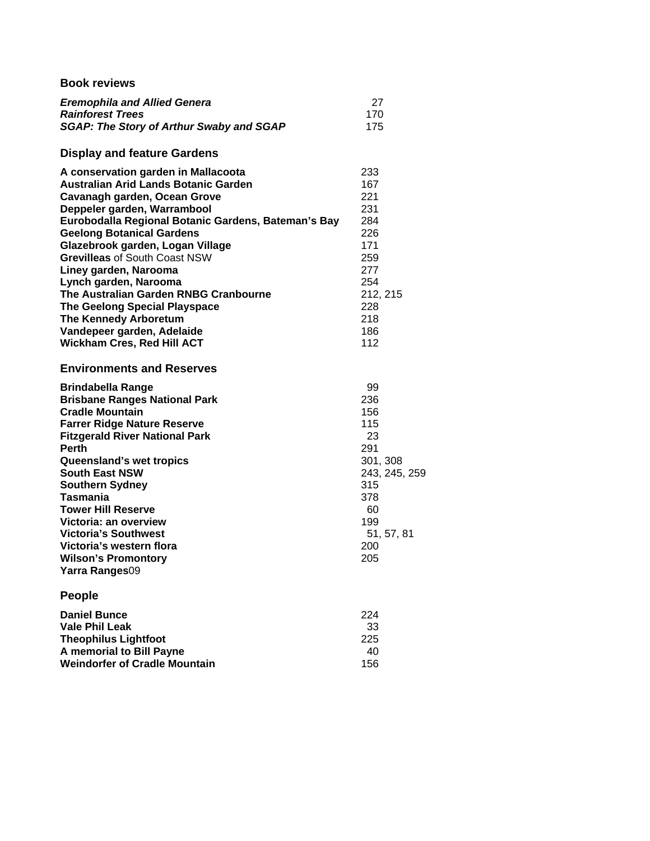| <b>Book reviews</b>                                                                                                                                                                                                                                                                                                                                                                                                                                                                                                                                            |                                                                                                                          |
|----------------------------------------------------------------------------------------------------------------------------------------------------------------------------------------------------------------------------------------------------------------------------------------------------------------------------------------------------------------------------------------------------------------------------------------------------------------------------------------------------------------------------------------------------------------|--------------------------------------------------------------------------------------------------------------------------|
| <b>Eremophila and Allied Genera</b><br><b>Rainforest Trees</b><br><b>SGAP: The Story of Arthur Swaby and SGAP</b>                                                                                                                                                                                                                                                                                                                                                                                                                                              | 27<br>170<br>175                                                                                                         |
| <b>Display and feature Gardens</b>                                                                                                                                                                                                                                                                                                                                                                                                                                                                                                                             |                                                                                                                          |
| A conservation garden in Mallacoota<br><b>Australian Arid Lands Botanic Garden</b><br>Cavanagh garden, Ocean Grove<br>Deppeler garden, Warrambool<br>Eurobodalla Regional Botanic Gardens, Bateman's Bay<br><b>Geelong Botanical Gardens</b><br>Glazebrook garden, Logan Village<br><b>Grevilleas of South Coast NSW</b><br>Liney garden, Narooma<br>Lynch garden, Narooma<br>The Australian Garden RNBG Cranbourne<br><b>The Geelong Special Playspace</b><br><b>The Kennedy Arboretum</b><br>Vandepeer garden, Adelaide<br><b>Wickham Cres, Red Hill ACT</b> | 233<br>167<br>221<br>231<br>284<br>226<br>171<br>259<br>277<br>254<br>212, 215<br>228<br>218<br>186<br>112               |
| <b>Environments and Reserves</b>                                                                                                                                                                                                                                                                                                                                                                                                                                                                                                                               |                                                                                                                          |
| <b>Brindabella Range</b><br><b>Brisbane Ranges National Park</b><br><b>Cradle Mountain</b><br><b>Farrer Ridge Nature Reserve</b><br><b>Fitzgerald River National Park</b><br><b>Perth</b><br>Queensland's wet tropics<br><b>South East NSW</b><br><b>Southern Sydney</b><br><b>Tasmania</b><br><b>Tower Hill Reserve</b><br>Victoria: an overview<br><b>Victoria's Southwest</b><br>Victoria's western flora<br><b>Wilson's Promontory</b><br>Yarra Ranges09                                                                                                   | 99<br>236<br>156<br>115<br>23<br>291<br>301, 308<br>243, 245, 259<br>315<br>378<br>60<br>199<br>51, 57, 81<br>200<br>205 |
| <b>People</b>                                                                                                                                                                                                                                                                                                                                                                                                                                                                                                                                                  |                                                                                                                          |
| <b>Daniel Bunce</b><br><b>Vale Phil Leak</b><br><b>Theophilus Lightfoot</b><br>A memorial to Bill Payne<br><b>Weindorfer of Cradle Mountain</b>                                                                                                                                                                                                                                                                                                                                                                                                                | 224<br>33<br>225<br>40<br>156                                                                                            |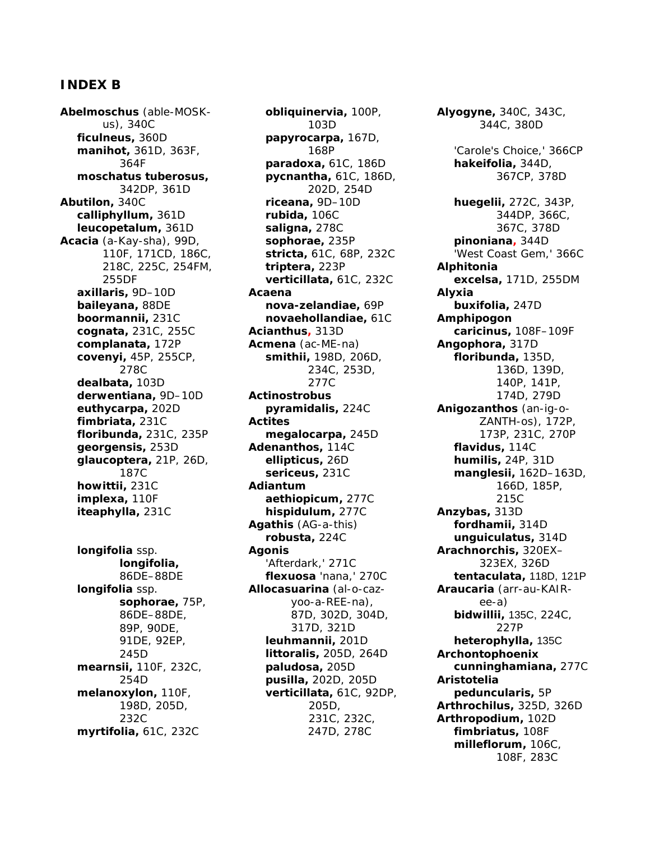## **INDEX B**

*Abelmoschus* (able-MOSKus), 340C *ficulneus,* 360D *manihot,* 361D, 363F, 364F *moschatus tuberosus,* 342DP, 361D *Abutilon,* 340C *calliphyllum,* 361D *leucopetalum,* 361D *Acacia* (a-Kay-sha), 99D, 110F, 171CD, 186C, 218C, 225C, 254FM, 255DF *axillaris,* 9D–10D *baileyana,* 88DE *boormannii,* 231C *cognata,* 231C, 255C *complanata,* 172P *covenyi,* 45P, 255CP, 278C *dealbata,* 103D *derwentiana,* 9D–10D *euthycarpa,* 202D *fimbriata,* 231C *floribunda,* 231C, 235P *georgensis,* 253D *glaucoptera,* 21P, 26D, 187C *howittii,* 231C *implexa,* 110F *iteaphylla,* 231C *longifolia* ssp.

*longifolia,* 86DE–88DE *longifolia* ssp. *sophorae,* 75P, 86DE–88DE, 89P, 90DE, 91DE, 92EP, 245D *mearnsii,* 110F, 232C, 254D *melanoxylon,* 110F, 198D, 205D, 232C *myrtifolia,* 61C, 232C

*obliquinervia,* 100P, 103D *papyrocarpa,* 167D, 168P *paradoxa,* 61C, 186D *pycnantha,* 61C, 186D, 202D, 254D *riceana,* 9D–10D *rubida,* 106C *saligna,* 278C *sophorae,* 235P *stricta,* 61C, 68P, 232C *triptera,* 223P *verticillata,* 61C, 232C *Acaena nova-zelandiae,* 69P *novaehollandiae,* 61C *Acianthus,* 313D *Acmena* (ac-ME-na) *smithii,* 198D, 206D, 234C, 253D, 277C *Actinostrobus pyramidalis,* 224C *Actites megalocarpa,* 245D *Adenanthos,* 114C *ellipticus,* 26D *sericeus,* 231C *Adiantum aethiopicum,* 277C *hispidulum,* 277C *Agathis* (AG-a-this) *robusta,* 224C *Agonis* 'Afterdark,' 271C *flexuosa* 'nana,' 270C *Allocasuarina* (al-o-cazyoo-a-REE-na), 87D, 302D, 304D, 317D, 321D *leuhmannii,* 201D *littoralis,* 205D, 264D *paludosa,* 205D *pusilla,* 202D, 205D *verticillata,* 61C, 92DP, 205D, 231C, 232C, 247D, 278C

*Alyogyne,* 340C, 343C, 344C, 380D 'Carole's Choice,' 366CP *hakeifolia,* 344D, 367CP, 378D *huegelii,* 272C, 343P, 344DP, 366C, 367C, 378D *pinoniana,* 344D 'West Coast Gem,' 366C *Alphitonia excelsa,* 171D, 255DM *Alyxia buxifolia,* 247D *Amphipogon caricinus,* 108F–109F *Angophora,* 317D *floribunda,* 135D, 136D, 139D, 140P, 141P, 174D, 279D *Anigozanthos* (an-ig-o-ZANTH-os), 172P, 173P, 231C, 270P *flavidus,* 114C *humilis,* 24P, 31D *manglesii,* 162D–163D, 166D, 185P, 215C *Anzybas,* 313D *fordhamii,* 314D *unguiculatus,* 314D *Arachnorchis,* 320EX– 323EX, 326D *tentaculata,* 118D, 121P *Araucaria* (arr-au-KAIRee-a) *bidwillii,* 135C, 224C, 227P *heterophylla,* 135C *Archontophoenix cunninghamiana,* 277C *Aristotelia peduncularis,* 5P *Arthrochilus,* 325D, 326D *Arthropodium,* 102D *fimbriatus,* 108F *milleflorum,* 106C, 108F, 283C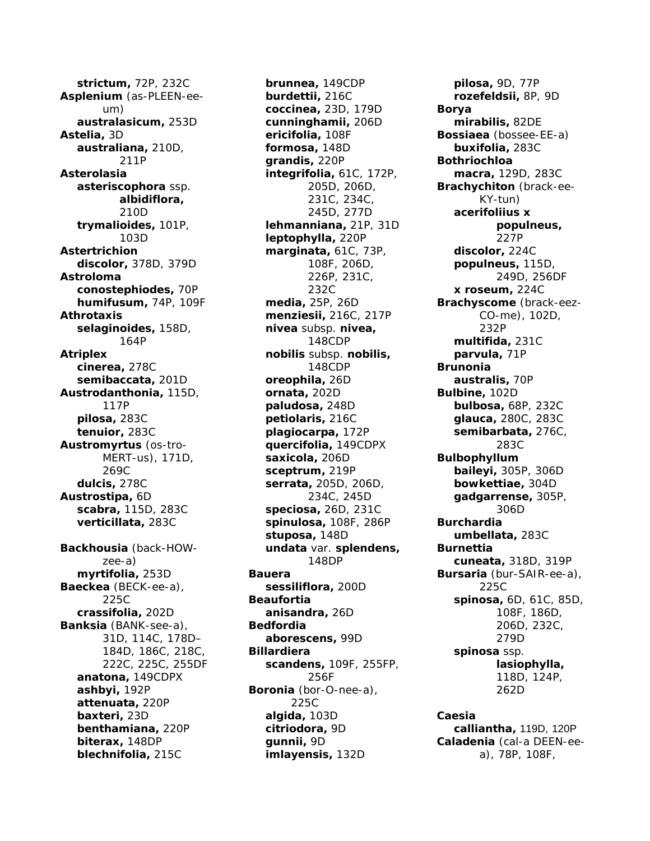*strictum,* 72P, 232C *Asplenium* (as-PLEEN-eeum) *australasicum,* 253D *Astelia,* 3D *australiana,* 210D, 211P *Asterolasia asteriscophora* ssp. *albidiflora,* 210D *trymalioides,* 101P, 103D *Astertrichion discolor,* 378D, 379D *Astroloma conostephiodes,* 70P *humifusum,* 74P, 109F *Athrotaxis selaginoides,* 158D, 164P *Atriplex cinerea,* 278C *semibaccata,* 201D *Austrodanthonia,* 115D, 117P *pilosa,* 283C *tenuior,* 283C *Austromyrtus* (os-tro-MERT-us), 171D, 269C *dulcis,* 278C *Austrostipa,* 6D *scabra,* 115D, 283C *verticillata,* 283C *Backhousia* (back-HOWzee-a) *myrtifolia,* 253D *Baeckea* (BECK-ee-a), 225C *crassifolia,* 202D *Banksia* (BANK-see-a), 31D, 114C, 178D– 184D, 186C, 218C, 222C, 225C, 255DF *anatona,* 149CDPX *ashbyi,* 192P *attenuata,* 220P *baxteri,* 23D *benthamiana,* 220P *biterax,* 148DP *blechnifolia,* 215C

*brunnea,* 149CDP *burdettii,* 216C *coccinea,* 23D, 179D *cunninghamii,* 206D *ericifolia,* 108F *formosa,* 148D *grandis,* 220P *integrifolia,* 61C, 172P, 205D, 206D, 231C, 234C, 245D, 277D *lehmanniana,* 21P, 31D *leptophylla,* 220P *marginata,* 61C, 73P, 108F, 206D, 226P, 231C, 232C *media,* 25P, 26D *menziesii,* 216C, 217P *nivea* subsp. *nivea,* 148CDP *nobilis* subsp. *nobilis,* 148CDP *oreophila,* 26D *ornata,* 202D *paludosa,* 248D *petiolaris,* 216C *plagiocarpa,* 172P *quercifolia,* 149CDPX *saxicola,* 206D *sceptrum,* 219P *serrata,* 205D, 206D, 234C, 245D *speciosa,* 26D, 231C *spinulosa,* 108F, 286P *stuposa,* 148D *undata* var. *splendens,* 148DP *Bauera sessiliflora,* 200D *Beaufortia anisandra,* 26D *Bedfordia aborescens,* 99D *Billardiera scandens,* 109F, 255FP, 256F *Boronia* (bor-O-nee-a), 225C *algida,* 103D *citriodora,* 9D *gunnii,* 9D *imlayensis,* 132D

*pilosa,* 9D, 77P *rozefeldsii,* 8P, 9D *Borya mirabilis,* 82DE *Bossiaea* (bossee-EE-a) *buxifolia,* 283C *Bothriochloa macra,* 129D, 283C *Brachychiton* (brack-ee-KY-tun) *acerifoliius x populneus,* 227P *discolor,* 224C *populneus,* 115D, 249D, 256DF *x roseum,* 224C *Brachyscome* (brack-eez-CO-me), 102D, 232P *multifida,* 231C *parvula,* 71P *Brunonia australis,* 70P *Bulbine,* 102D *bulbosa,* 68P, 232C *glauca,* 280C, 283C *semibarbata,* 276C, 283C *Bulbophyllum baileyi,* 305P, 306D *bowkettiae,* 304D *gadgarrense,* 305P, 306D *Burchardia umbellata,* 283C *Burnettia cuneata,* 318D, 319P *Bursaria* (bur-SAIR-ee-a), 225C *spinosa,* 6D, 61C, 85D, 108F, 186D, 206D, 232C, 279D *spinosa* ssp. *lasiophylla,* 118D, 124P, 262D

*Caesia calliantha,* 119D, 120P *Caladenia* (cal-a DEEN-eea), 78P, 108F,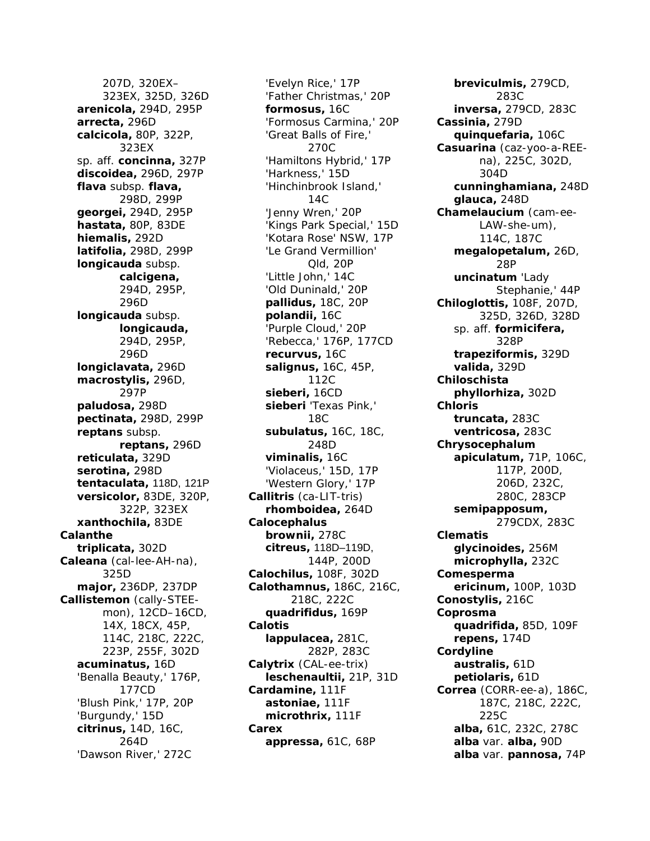207D, 320EX– 323EX, 325D, 326D *arenicola,* 294D, 295P *arrecta,* 296D *calcicola,* 80P, 322P, 323EX sp. aff. *concinna,* 327P *discoidea,* 296D, 297P *flava* subsp. *flava,* 298D, 299P *georgei,* 294D, 295P *hastata,* 80P, 83DE *hiemalis,* 292D *latifolia,* 298D, 299P *longicauda* subsp. *calcigena,* 294D, 295P, 296D *longicauda* subsp. *longicauda,* 294D, 295P, 296D *longiclavata,* 296D *macrostylis,* 296D, 297P *paludosa,* 298D *pectinata,* 298D, 299P *reptans* subsp. *reptans,* 296D *reticulata,* 329D *serotina,* 298D *tentaculata,* 118D, 121P *versicolor,* 83DE, 320P, 322P, 323EX *xanthochila,* 83DE *Calanthe triplicata,* 302D *Caleana* (cal-lee-AH-na), 325D *major,* 236DP, 237DP *Callistemon* (cally-STEEmon), 12CD–16CD, 14X, 18CX, 45P, 114C, 218C, 222C, 223P, 255F, 302D *acuminatus,* 16D 'Benalla Beauty,' 176P, 177CD 'Blush Pink,' 17P, 20P 'Burgundy,' 15D *citrinus,* 14D, 16C, 264D 'Dawson River,' 272C

'Evelyn Rice,' 17P 'Father Christmas,' 20P *formosus,* 16C 'Formosus Carmina,' 20P 'Great Balls of Fire,' 270C 'Hamiltons Hybrid,' 17P 'Harkness,' 15D 'Hinchinbrook Island,' 14C 'Jenny Wren,' 20P 'Kings Park Special,' 15D 'Kotara Rose' NSW, 17P 'Le Grand Vermillion' Qld, 20P 'Little John,' 14C 'Old Duninald,' 20P *pallidus,* 18C, 20P *polandii,* 16C 'Purple Cloud,' 20P 'Rebecca,' 176P, 177CD *recurvus,* 16C *salignus,* 16C, 45P, 112C *sieberi,* 16CD *sieberi* 'Texas Pink,' 18C *subulatus,* 16C, 18C, 248D *viminalis,* 16C 'Violaceus,' 15D, 17P 'Western Glory,' 17P *Callitris* (ca-LIT-tris) *rhomboidea,* 264D *Calocephalus brownii,* 278C *citreus,* 118D–119D, 144P, 200D *Calochilus,* 108F, 302D *Calothamnus,* 186C, 216C, 218C, 222C *quadrifidus,* 169P *Calotis lappulacea,* 281C, 282P, 283C *Calytrix* (CAL-ee-trix) *leschenaultii,* 21P, 31D *Cardamine,* 111F *astoniae,* 111F *microthrix,* 111F *Carex appressa,* 61C, 68P

*breviculmis,* 279CD, 283C *inversa,* 279CD, 283C *Cassinia,* 279D *quinquefaria,* 106C *Casuarina* (caz-yoo-a-REEna), 225C, 302D, 304D *cunninghamiana,* 248D *glauca,* 248D *Chamelaucium* (cam-ee-LAW-she-um), 114C, 187C *megalopetalum,* 26D, 28P *uncinatum* 'Lady Stephanie,' 44P *Chiloglottis,* 108F, 207D, 325D, 326D, 328D sp. aff. *formicifera,* 328P *trapeziformis,* 329D *valida,* 329D *Chiloschista phyllorhiza,* 302D *Chloris truncata,* 283C *ventricosa,* 283C *Chrysocephalum apiculatum,* 71P, 106C, 117P, 200D, 206D, 232C, 280C, 283CP *semipapposum,* 279CDX, 283C *Clematis glycinoides,* 256M *microphylla,* 232C *Comesperma ericinum,* 100P, 103D *Conostylis,* 216C *Coprosma quadrifida,* 85D, 109F *repens,* 174D *Cordyline australis,* 61D *petiolaris,* 61D *Correa* (CORR-ee-a), 186C, 187C, 218C, 222C, 225C *alba,* 61C, 232C, 278C *alba* var. *alba,* 90D *alba* var. *pannosa,* 74P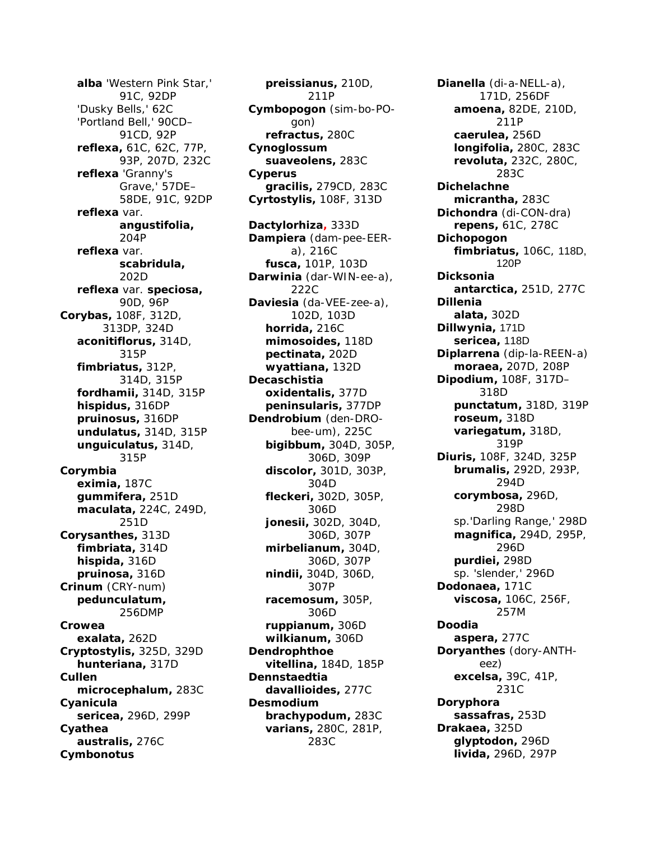*alba* 'Western Pink Star,' 91C, 92DP 'Dusky Bells,' 62C 'Portland Bell,' 90CD– 91CD, 92P *reflexa,* 61C, 62C, 77P, 93P, 207D, 232C *reflexa* 'Granny's Grave,' 57DE– 58DE, 91C, 92DP *reflexa* var. *angustifolia,* 204P *reflexa* var. *scabridula,* 202D *reflexa* var. *speciosa,* 90D, 96P *Corybas,* 108F, 312D, 313DP, 324D *aconitiflorus,* 314D, 315P *fimbriatus,* 312P, 314D, 315P *fordhamii,* 314D, 315P *hispidus,* 316DP *pruinosus,* 316DP *undulatus,* 314D, 315P *unguiculatus,* 314D, 315P *Corymbia eximia,* 187C *gummifera,* 251D *maculata,* 224C, 249D, 251D *Corysanthes,* 313D *fimbriata,* 314D *hispida,* 316D *pruinosa,* 316D *Crinum* (CRY-num) *pedunculatum,* 256DMP *Crowea exalata,* 262D *Cryptostylis,* 325D, 329D *hunteriana,* 317D *Cullen microcephalum,* 283C *Cyanicula sericea,* 296D, 299P *Cyathea australis,* 276C *Cymbonotus*

*preissianus,* 210D, 211P *Cymbopogon* (sim-bo-POgon) *refractus,* 280C *Cynoglossum suaveolens,* 283C *Cyperus gracilis,* 279CD, 283C *Cyrtostylis,* 108F, 313D *Dactylorhiza,* 333D *Dampiera* (dam-pee-EERa), 216C *fusca,* 101P, 103D *Darwinia* (dar-WIN-ee-a), 222C *Daviesia* (da-VEE-zee-a), 102D, 103D *horrida,* 216C *mimosoides,* 118D *pectinata,* 202D *wyattiana,* 132D *Decaschistia oxidentalis,* 377D *peninsularis,* 377DP *Dendrobium* (den-DRObee-um), 225C *bigibbum,* 304D, 305P, 306D, 309P *discolor,* 301D, 303P, 304D *fleckeri,* 302D, 305P, 306D *jonesii,* 302D, 304D, 306D, 307P *mirbelianum,* 304D, 306D, 307P *nindii,* 304D, 306D, 307P *racemosum,* 305P, 306D *ruppianum,* 306D *wilkianum,* 306D *Dendrophthoe vitellina,* 184D, 185P *Dennstaedtia davallioides,* 277C *Desmodium brachypodum,* 283C *varians,* 280C, 281P, 283C

*Dianella* (di-a-NELL-a), 171D, 256DF *amoena,* 82DE, 210D, 211P *caerulea,* 256D *longifolia,* 280C, 283C *revoluta,* 232C, 280C, 283C *Dichelachne micrantha,* 283C *Dichondra* (di-CON-dra) *repens,* 61C, 278C *Dichopogon fimbriatus,* 106C, 118D, 120P *Dicksonia antarctica,* 251D, 277C *Dillenia alata,* 302D *Dillwynia,* 171D *sericea,* 118D *Diplarrena* (dip-la-REEN-a) *moraea,* 207D, 208P *Dipodium,* 108F, 317D– 318D *punctatum,* 318D, 319P *roseum,* 318D *variegatum,* 318D, 319P *Diuris,* 108F, 324D, 325P *brumalis,* 292D, 293P, 294D *corymbosa,* 296D, 298D sp.'Darling Range,' 298D *magnifica,* 294D, 295P, 296D *purdiei,* 298D sp. 'slender,' 296D *Dodonaea,* 171C *viscosa,* 106C, 256F, 257M *Doodia aspera,* 277C *Doryanthes* (dory-ANTHeez) *excelsa,* 39C, 41P, 231C *Doryphora sassafras,* 253D *Drakaea,* 325D *glyptodon,* 296D *livida,* 296D, 297P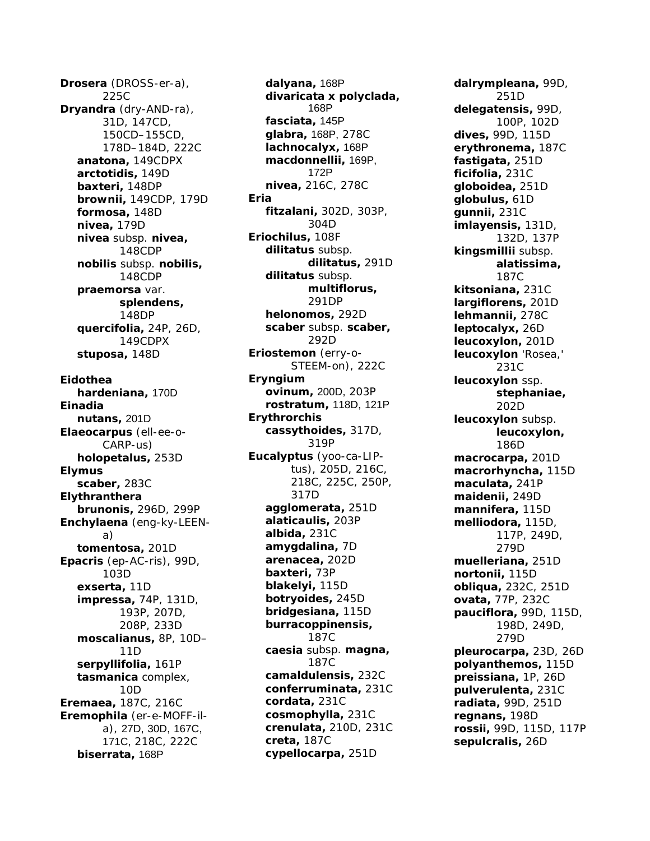*Drosera* (DROSS-er-a), 225C *Dryandra* (dry-AND-ra), 31D, 147CD, 150CD–155CD, 178D–184D, 222C *anatona,* 149CDPX *arctotidis,* 149D *baxteri,* 148DP *brownii,* 149CDP, 179D *formosa,* 148D *nivea,* 179D *nivea* subsp. *nivea,* 148CDP *nobilis* subsp. *nobilis,* 148CDP *praemorsa* var. *splendens,* 148DP *quercifolia,* 24P, 26D, 149CDPX *stuposa,* 148D *Eidothea hardeniana,* 170D *Einadia nutans,* 201D *Elaeocarpus* (ell-ee-o-CARP-us) *holopetalus,* 253D *Elymus scaber,* 283C *Elythranthera brunonis,* 296D, 299P *Enchylaena* (eng-ky-LEENa) *tomentosa,* 201D *Epacris* (ep-AC-ris), 99D, 103D *exserta,* 11D *impressa,* 74P, 131D, 193P, 207D, 208P, 233D *moscalianus,* 8P, 10D– 11D *serpyllifolia,* 161P *tasmanica* complex, 10D *Eremaea,* 187C, 216C *Eremophila* (er-e-MOFF-ila), 27D, 30D, 167C, 171C, 218C, 222C *biserrata,* 168P

*dalyana,* 168P *divaricata x polyclada,* 168P *fasciata,* 145P *glabra,* 168P, 278C *lachnocalyx,* 168P *macdonnellii,* 169P, 172P *nivea,* 216C, 278C *Eria fitzalani,* 302D, 303P, 304D *Eriochilus,* 108F *dilitatus* subsp. *dilitatus,* 291D *dilitatus* subsp. *multiflorus,* 291DP *helonomos,* 292D *scaber* subsp. *scaber,* 292D *Eriostemon* (erry-o-STEEM-on), 222C *Eryngium ovinum,* 200D, 203P *rostratum,* 118D, 121P *Erythrorchis cassythoides,* 317D, 319P *Eucalyptus* (yoo-ca-LIPtus), 205D, 216C, 218C, 225C, 250P, 317D *agglomerata,* 251D *alaticaulis,* 203P *albida,* 231C *amygdalina,* 7D *arenacea,* 202D *baxteri,* 73P *blakelyi,* 115D *botryoides,* 245D *bridgesiana,* 115D *burracoppinensis,* 187C *caesia* subsp. *magna,* 187C *camaldulensis,* 232C *conferruminata,* 231C *cordata,* 231C *cosmophylla,* 231C *crenulata,* 210D, 231C *creta,* 187C *cypellocarpa,* 251D

*dalrympleana,* 99D, 251D *delegatensis,* 99D, 100P, 102D *dives,* 99D, 115D *erythronema,* 187C *fastigata,* 251D *ficifolia,* 231C *globoidea,* 251D *globulus,* 61D *gunnii,* 231C *imlayensis,* 131D, 132D, 137P *kingsmillii* subsp. *alatissima,* 187C *kitsoniana,* 231C *largiflorens,* 201D *lehmannii,* 278C *leptocalyx,* 26D *leucoxylon,* 201D *leucoxylon* 'Rosea,' 231C *leucoxylon* ssp. *stephaniae,* 202D *leucoxylon* subsp. *leucoxylon,* 186D *macrocarpa,* 201D *macrorhyncha,* 115D *maculata,* 241P *maidenii,* 249D *mannifera,* 115D *melliodora,* 115D, 117P, 249D, 279D *muelleriana,* 251D *nortonii,* 115D *obliqua,* 232C, 251D *ovata,* 77P, 232C *pauciflora,* 99D, 115D, 198D, 249D, 279D *pleurocarpa,* 23D, 26D *polyanthemos,* 115D *preissiana,* 1P, 26D *pulverulenta,* 231C *radiata,* 99D, 251D *regnans,* 198D *rossii,* 99D, 115D, 117P *sepulcralis,* 26D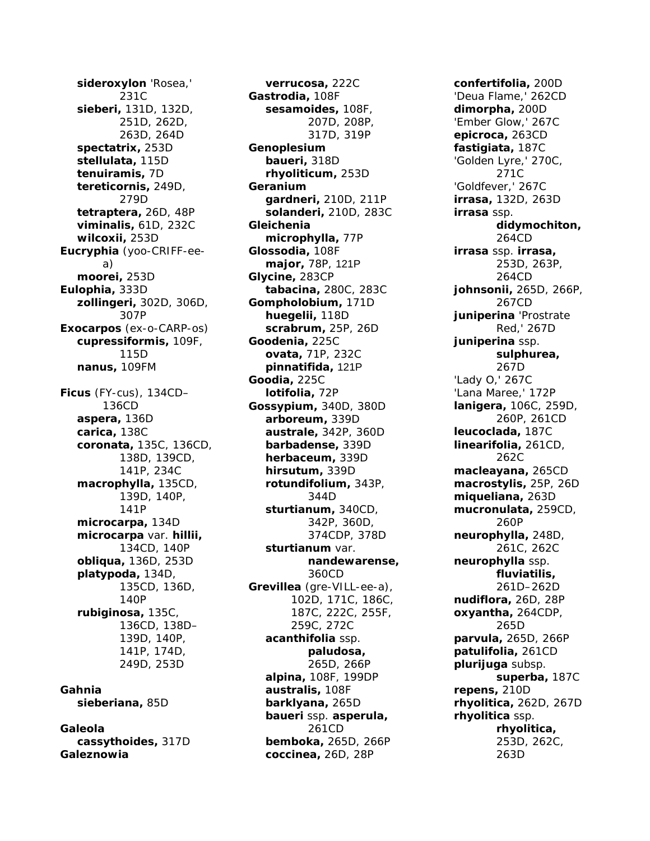*sideroxylon* 'Rosea,' 231C *sieberi,* 131D, 132D, 251D, 262D, 263D, 264D *spectatrix,* 253D *stellulata,* 115D *tenuiramis,* 7D *tereticornis,* 249D, 279D *tetraptera,* 26D, 48P *viminalis,* 61D, 232C *wilcoxii,* 253D *Eucryphia* (yoo-CRIFF-eea) *moorei,* 253D *Eulophia,* 333D *zollingeri,* 302D, 306D, 307P *Exocarpos* (ex-o-CARP-os) *cupressiformis,* 109F, 115D *nanus,* 109FM *Ficus* (FY-cus), 134CD– 136CD *aspera,* 136D *carica,* 138C *coronata,* 135C, 136CD, 138D, 139CD, 141P, 234C *macrophylla,* 135CD, 139D, 140P, 141P *microcarpa,* 134D *microcarpa* var. *hillii,* 134CD, 140P *obliqua,* 136D, 253D *platypoda,* 134D, 135CD, 136D, 140P *rubiginosa,* 135C, 136CD, 138D– 139D, 140P, 141P, 174D, 249D, 253D *Gahnia sieberiana,* 85D

*Galeola cassythoides,* 317D *Galeznowia*

*verrucosa,* 222C *Gastrodia,* 108F *sesamoides,* 108F, 207D, 208P, 317D, 319P *Genoplesium baueri,* 318D *rhyoliticum,* 253D *Geranium gardneri,* 210D, 211P *solanderi,* 210D, 283C *Gleichenia microphylla,* 77P *Glossodia,* 108F *major,* 78P, 121P *Glycine,* 283CP *tabacina,* 280C, 283C *Gompholobium,* 171D *huegelii,* 118D *scrabrum,* 25P, 26D *Goodenia,* 225C *ovata,* 71P, 232C *pinnatifida,* 121P *Goodia,* 225C *lotifolia,* 72P *Gossypium,* 340D, 380D *arboreum,* 339D *australe,* 342P, 360D *barbadense,* 339D *herbaceum,* 339D *hirsutum,* 339D *rotundifolium,* 343P, 344D *sturtianum,* 340CD, 342P, 360D, 374CDP, 378D *sturtianum* var. *nandewarense,* 360CD *Grevillea* (gre-VILL-ee-a), 102D, 171C, 186C, 187C, 222C, 255F, 259C, 272C *acanthifolia* ssp. *paludosa,* 265D, 266P *alpina,* 108F, 199DP *australis,* 108F *barklyana,* 265D *baueri* ssp. *asperula,* 261CD *bemboka,* 265D, 266P *coccinea,* 26D, 28P

*confertifolia,* 200D 'Deua Flame,' 262CD *dimorpha,* 200D 'Ember Glow,' 267C *epicroca,* 263CD *fastigiata,* 187C 'Golden Lyre,' 270C, 271C 'Goldfever,' 267C *irrasa,* 132D, 263D *irrasa* ssp. *didymochiton,* 264CD *irrasa* ssp. *irrasa,* 253D, 263P, 264CD *johnsonii,* 265D, 266P, 267CD *juniperina* 'Prostrate Red,' 267D *juniperina* ssp. *sulphurea,* 267D 'Lady O,' 267C 'Lana Maree,' 172P *lanigera,* 106C, 259D, 260P, 261CD *leucoclada,* 187C *linearifolia,* 261CD, 262C *macleayana,* 265CD *macrostylis,* 25P, 26D *miqueliana,* 263D *mucronulata,* 259CD, 260P *neurophylla,* 248D, 261C, 262C *neurophylla* ssp. *fluviatilis,* 261D–262D *nudiflora,* 26D, 28P *oxyantha,* 264CDP, 265D *parvula,* 265D, 266P *patulifolia,* 261CD *plurijuga* subsp. *superba,* 187C *repens,* 210D *rhyolitica,* 262D, 267D *rhyolitica* ssp. *rhyolitica,* 253D, 262C, 263D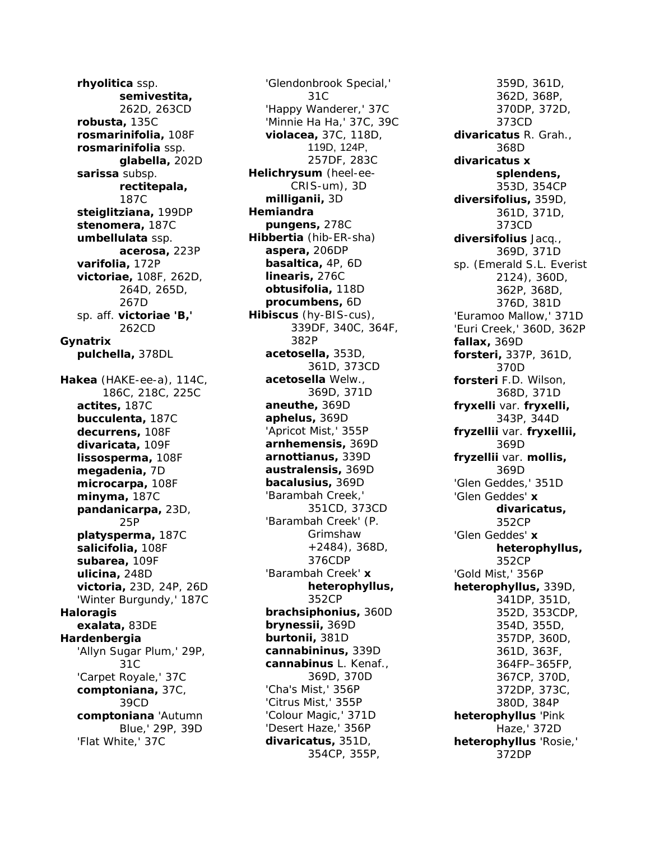*rhyolitica* ssp. *semivestita,* 262D, 263CD *robusta,* 135C *rosmarinifolia,* 108F *rosmarinifolia* ssp. *glabella,* 202D *sarissa* subsp. *rectitepala,* 187C *steiglitziana,* 199DP *stenomera,* 187C *umbellulata* ssp. *acerosa,* 223P *varifolia,* 172P *victoriae,* 108F, 262D, 264D, 265D, 267D sp. aff. *victoriae 'B,'* 262CD *Gynatrix pulchella,* 378DL *Hakea* (HAKE-ee-a), 114C, 186C, 218C, 225C *actites,* 187C *bucculenta,* 187C *decurrens,* 108F *divaricata,* 109F *lissosperma,* 108F *megadenia,* 7D *microcarpa,* 108F *minyma,* 187C *pandanicarpa,* 23D, 25P *platysperma,* 187C *salicifolia,* 108F *subarea,* 109F *ulicina,* 248D *victoria,* 23D, 24P, 26D 'Winter Burgundy,' 187C *Haloragis exalata,* 83DE *Hardenbergia* 'Allyn Sugar Plum,' 29P, 31C 'Carpet Royale,' 37C *comptoniana,* 37C, 39CD *comptoniana* 'Autumn Blue,' 29P, 39D 'Flat White,' 37C

'Glendonbrook Special,' 31C 'Happy Wanderer,' 37C 'Minnie Ha Ha,' 37C, 39C *violacea,* 37C, 118D, 119D, 124P, 257DF, 283C *Helichrysum* (heel-ee-CRIS-um), 3D *milliganii,* 3D *Hemiandra pungens,* 278C *Hibbertia* (hib-ER-sha) *aspera,* 206DP *basaltica,* 4P, 6D *linearis,* 276C *obtusifolia,* 118D *procumbens,* 6D *Hibiscus* (hy-BIS-cus), 339DF, 340C, 364F, 382P *acetosella,* 353D, 361D, 373CD *acetosella* Welw., 369D, 371D *aneuthe,* 369D *aphelus,* 369D 'Apricot Mist,' 355P *arnhemensis,* 369D *arnottianus,* 339D *australensis,* 369D *bacalusius,* 369D 'Barambah Creek,' 351CD, 373CD 'Barambah Creek' (P. Grimshaw +2484), 368D, 376CDP 'Barambah Creek' *x heterophyllus,* 352CP *brachsiphonius,* 360D *brynessii,* 369D *burtonii,* 381D *cannabininus,* 339D *cannabinus* L. Kenaf., 369D, 370D 'Cha's Mist,' 356P 'Citrus Mist,' 355P 'Colour Magic,' 371D 'Desert Haze,' 356P *divaricatus,* 351D, 354CP, 355P,

359D, 361D, 362D, 368P, 370DP, 372D, 373CD *divaricatus* R. Grah., 368D *divaricatus x splendens,* 353D, 354CP *diversifolius,* 359D, 361D, 371D, 373CD *diversifolius* Jacq., 369D, 371D sp. (Emerald S.L. Everist 2124), 360D, 362P, 368D, 376D, 381D 'Euramoo Mallow,' 371D 'Euri Creek,' 360D, 362P *fallax,* 369D *forsteri,* 337P, 361D, 370D *forsteri* F.D. Wilson, 368D, 371D *fryxelli* var. *fryxelli,* 343P, 344D *fryzellii* var. *fryxellii,* 369D *fryzellii* var. *mollis,* 369D 'Glen Geddes,' 351D 'Glen Geddes' *x divaricatus,* 352CP 'Glen Geddes' *x heterophyllus,* 352CP 'Gold Mist,' 356P *heterophyllus,* 339D, 341DP, 351D, 352D, 353CDP, 354D, 355D, 357DP, 360D, 361D, 363F, 364FP–365FP, 367CP, 370D, 372DP, 373C, 380D, 384P *heterophyllus* 'Pink Haze,' 372D *heterophyllus* 'Rosie,' 372DP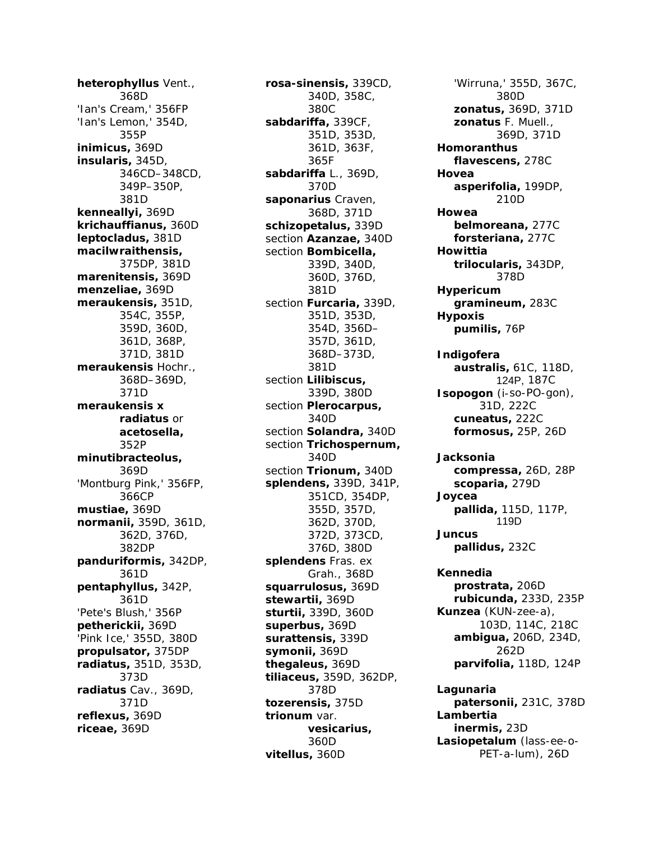*heterophyllus* Vent., 368D 'Ian's Cream,' 356FP 'Ian's Lemon,' 354D, 355P *inimicus,* 369D *insularis,* 345D, 346CD–348CD, 349P–350P, 381D *kenneallyi,* 369D *krichauffianus,* 360D *leptocladus,* 381D *macilwraithensis,* 375DP, 381D *marenitensis,* 369D *menzeliae,* 369D *meraukensis,* 351D, 354C, 355P, 359D, 360D, 361D, 368P, 371D, 381D *meraukensis* Hochr., 368D–369D, 371D *meraukensis x radiatus* or *acetosella,* 352P *minutibracteolus,* 369D 'Montburg Pink,' 356FP, 366CP *mustiae,* 369D *normanii,* 359D, 361D, 362D, 376D, 382DP *panduriformis,* 342DP, 361D *pentaphyllus,* 342P, 361D 'Pete's Blush,' 356P *petherickii,* 369D 'Pink Ice,' 355D, 380D *propulsator,* 375DP *radiatus,* 351D, 353D, 373D *radiatus* Cav., 369D, 371D *reflexus,* 369D *riceae,* 369D

*rosa-sinensis,* 339CD, 340D, 358C, 380C *sabdariffa,* 339CF, 351D, 353D, 361D, 363F, 365F *sabdariffa* L., 369D, 370D *saponarius* Craven, 368D, 371D *schizopetalus,* 339D section *Azanzae,* 340D section *Bombicella,* 339D, 340D, 360D, 376D, 381D section *Furcaria,* 339D, 351D, 353D, 354D, 356D– 357D, 361D, 368D–373D, 381D section *Lilibiscus,* 339D, 380D section *Plerocarpus,* 340D section *Solandra,* 340D section *Trichospernum,* 340D section *Trionum,* 340D *splendens,* 339D, 341P, 351CD, 354DP, 355D, 357D, 362D, 370D, 372D, 373CD, 376D, 380D *splendens* Fras. ex Grah., 368D *squarrulosus,* 369D *stewartii,* 369D *sturtii,* 339D, 360D *superbus,* 369D *surattensis,* 339D *symonii,* 369D *thegaleus,* 369D *tiliaceus,* 359D, 362DP, 378D *tozerensis,* 375D *trionum* var. *vesicarius,* 360D *vitellus,* 360D

'Wirruna,' 355D, 367C, 380D *zonatus,* 369D, 371D *zonatus* F. Muell., 369D, 371D *Homoranthus flavescens,* 278C *Hovea asperifolia,* 199DP, 210D *Howea belmoreana,* 277C *forsteriana,* 277C *Howittia trilocularis,* 343DP, 378D *Hypericum gramineum,* 283C *Hypoxis pumilis,* 76P *Indigofera australis,* 61C, 118D, 124P, 187C *Isopogon* (i-so-PO-gon), 31D, 222C *cuneatus,* 222C *formosus,* 25P, 26D *Jacksonia compressa,* 26D, 28P *scoparia,* 279D *Joycea pallida,* 115D, 117P, 119D *Juncus pallidus,* 232C *Kennedia prostrata,* 206D *rubicunda,* 233D, 235P *Kunzea* (KUN-zee-a), 103D, 114C, 218C *ambigua,* 206D, 234D, 262D *parvifolia,* 118D, 124P *Lagunaria patersonii,* 231C, 378D *Lambertia inermis,* 23D *Lasiopetalum* (lass-ee-o-PET-a-lum), 26D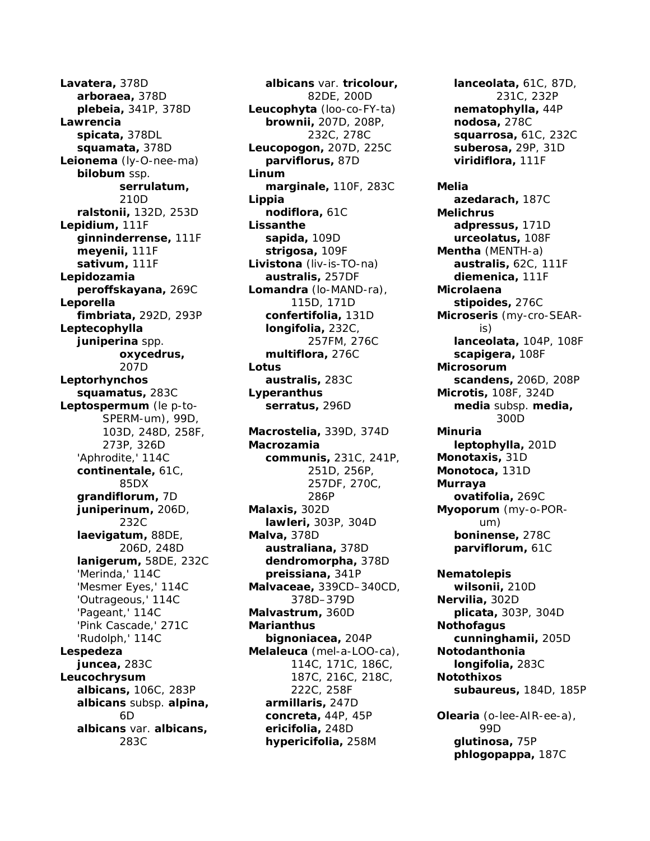*Lavatera,* 378D *arboraea,* 378D *plebeia,* 341P, 378D *Lawrencia spicata,* 378DL *squamata,* 378D *Leionema* (ly-O-nee-ma) *bilobum* ssp. *serrulatum,* 210D *ralstonii,* 132D, 253D *Lepidium,* 111F *ginninderrense,* 111F *meyenii,* 111F *sativum,* 111F *Lepidozamia peroffskayana,* 269C *Leporella fimbriata,* 292D, 293P *Leptecophylla juniperina* spp. *oxycedrus,* 207D *Leptorhynchos squamatus,* 283C *Leptospermum* (le p-to-SPERM-um), 99D, 103D, 248D, 258F, 273P, 326D 'Aphrodite,' 114C *continentale,* 61C, 85DX *grandiflorum,* 7D *juniperinum,* 206D, 232C *laevigatum,* 88DE, 206D, 248D *lanigerum,* 58DE, 232C 'Merinda,' 114C 'Mesmer Eyes,' 114C 'Outrageous,' 114C 'Pageant,' 114C 'Pink Cascade,' 271C 'Rudolph,' 114C *Lespedeza juncea,* 283C *Leucochrysum albicans,* 106C, 283P *albicans* subsp. *alpina,* 6D *albicans* var. *albicans,* 283C

*albicans* var. *tricolour,* 82DE, 200D *Leucophyta* (loo-co-FY-ta) *brownii,* 207D, 208P, 232C, 278C *Leucopogon,* 207D, 225C *parviflorus,* 87D *Linum marginale,* 110F, 283C *Lippia nodiflora,* 61C *Lissanthe sapida,* 109D *strigosa,* 109F *Livistona* (liv-is-TO-na) *australis,* 257DF *Lomandra* (lo-MAND-ra), 115D, 171D *confertifolia,* 131D *longifolia,* 232C, 257FM, 276C *multiflora,* 276C *Lotus australis,* 283C *Lyperanthus serratus,* 296D *Macrostelia,* 339D, 374D *Macrozamia communis,* 231C, 241P, 251D, 256P, 257DF, 270C, 286P *Malaxis,* 302D *lawleri,* 303P, 304D *Malva,* 378D *australiana,* 378D *dendromorpha,* 378D *preissiana,* 341P *Malvaceae,* 339CD–340CD, 378D–379D *Malvastrum,* 360D *Marianthus bignoniacea,* 204P *Melaleuca* (mel-a-LOO-ca), 114C, 171C, 186C, 187C, 216C, 218C, 222C, 258F *armillaris,* 247D *concreta,* 44P, 45P *ericifolia,* 248D *hypericifolia,* 258M

*lanceolata,* 61C, 87D, 231C, 232P *nematophylla,* 44P *nodosa,* 278C *squarrosa,* 61C, 232C *suberosa,* 29P, 31D *viridiflora,* 111F

*Melia azedarach,* 187C *Melichrus adpressus,* 171D *urceolatus,* 108F *Mentha* (MENTH-a) *australis,* 62C, 111F *diemenica,* 111F *Microlaena stipoides,* 276C *Microseris* (my-cro-SEARis) *lanceolata,* 104P, 108F *scapigera,* 108F *Microsorum scandens,* 206D, 208P *Microtis,* 108F, 324D *media* subsp. *media,* 300D *Minuria leptophylla,* 201D *Monotaxis,* 31D *Monotoca,* 131D *Murraya ovatifolia,* 269C *Myoporum* (my-o-PORum) *boninense,* 278C *parviflorum,* 61C

*Nematolepis wilsonii,* 210D *Nervilia,* 302D *plicata,* 303P, 304D *Nothofagus cunninghamii,* 205D *Notodanthonia longifolia,* 283C *Notothixos subaureus,* 184D, 185P

*Olearia* (o-lee-AIR-ee-a), 99D *glutinosa,* 75P *phlogopappa,* 187C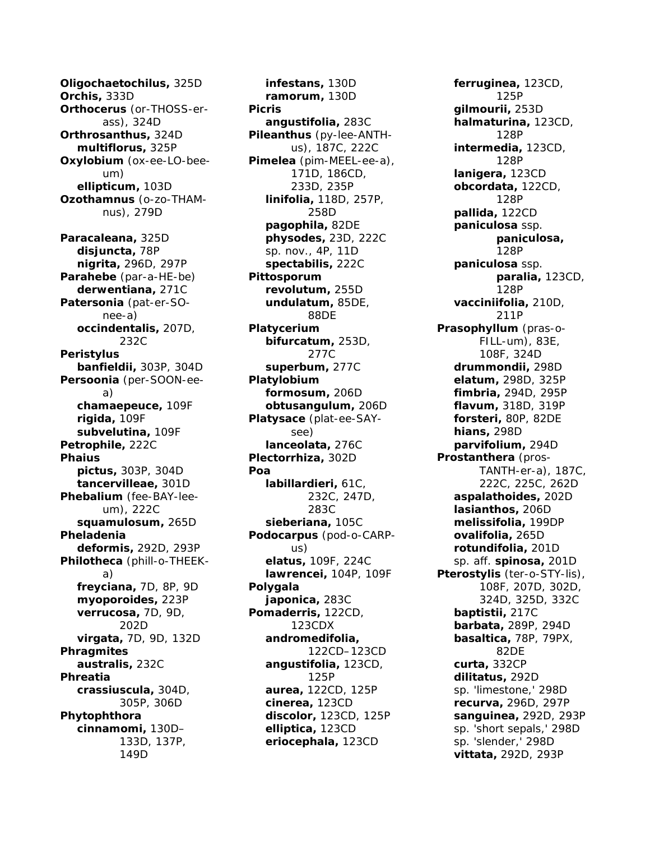*Oligochaetochilus,* 325D *Orchis,* 333D *Orthocerus* (or-THOSS-erass), 324D *Orthrosanthus,* 324D *multiflorus,* 325P *Oxylobium* (ox-ee-LO-beeum) *ellipticum,* 103D *Ozothamnus* (o-zo-THAMnus), 279D *Paracaleana,* 325D *disjuncta,* 78P *nigrita,* 296D, 297P *Parahebe* (par-a-HE-be) *derwentiana,* 271C *Patersonia* (pat-er-SOnee-a) *occindentalis,* 207D, 232C *Peristylus banfieldii,* 303P, 304D *Persoonia* (per-SOON-eea) *chamaepeuce,* 109F *rigida,* 109F *subvelutina,* 109F *Petrophile,* 222C *Phaius pictus,* 303P, 304D *tancervilleae,* 301D *Phebalium* (fee-BAY-leeum), 222C *squamulosum,* 265D *Pheladenia deformis,* 292D, 293P *Philotheca* (phill-o-THEEKa) *freyciana,* 7D, 8P, 9D *myoporoides,* 223P *verrucosa,* 7D, 9D, 202D *virgata,* 7D, 9D, 132D *Phragmites australis,* 232C *Phreatia crassiuscula,* 304D, 305P, 306D *Phytophthora cinnamomi,* 130D– 133D, 137P, 149D

*infestans,* 130D *ramorum,* 130D *Picris angustifolia,* 283C *Pileanthus* (py-lee-ANTHus), 187C, 222C *Pimelea* (pim-MEEL-ee-a), 171D, 186CD, 233D, 235P *linifolia,* 118D, 257P, 258D *pagophila,* 82DE *physodes,* 23D, 222C sp. nov., 4P, 11D *spectabilis,* 222C *Pittosporum revolutum,* 255D *undulatum,* 85DE, 88DE *Platycerium bifurcatum,* 253D, 277C *superbum,* 277C *Platylobium formosum,* 206D *obtusangulum,* 206D *Platysace* (plat-ee-SAYsee) *lanceolata,* 276C *Plectorrhiza,* 302D *Poa labillardieri,* 61C, 232C, 247D, 283C *sieberiana,* 105C *Podocarpus* (pod-o-CARPus) *elatus,* 109F, 224C *lawrencei,* 104P, 109F *Polygala japonica,* 283C *Pomaderris,* 122CD, 123CDX *andromedifolia,* 122CD–123CD *angustifolia,* 123CD, 125P *aurea,* 122CD, 125P *cinerea,* 123CD *discolor,* 123CD, 125P *elliptica,* 123CD *eriocephala,* 123CD

*ferruginea,* 123CD, 125P *gilmourii,* 253D *halmaturina,* 123CD, 128P *intermedia,* 123CD, 128P *lanigera,* 123CD *obcordata,* 122CD, 128P *pallida,* 122CD *paniculosa* ssp. *paniculosa,* 128P *paniculosa* ssp. *paralia,* 123CD, 128P *vacciniifolia,* 210D, 211P *Prasophyllum* (pras-o-FILL-um), 83E, 108F, 324D *drummondii,* 298D *elatum,* 298D, 325P *fimbria,* 294D, 295P *flavum,* 318D, 319P *forsteri,* 80P, 82DE *hians,* 298D *parvifolium,* 294D *Prostanthera* (pros-TANTH-er-a), 187C, 222C, 225C, 262D *aspalathoides,* 202D *lasianthos,* 206D *melissifolia,* 199DP *ovalifolia,* 265D *rotundifolia,* 201D sp. aff. *spinosa,* 201D *Pterostylis* (ter-o-STY-lis), 108F, 207D, 302D, 324D, 325D, 332C *baptistii,* 217C *barbata,* 289P, 294D *basaltica,* 78P, 79PX, 82DE *curta,* 332CP *dilitatus,* 292D sp. 'limestone,' 298D *recurva,* 296D, 297P *sanguinea,* 292D, 293P sp. 'short sepals,' 298D sp. 'slender,' 298D *vittata,* 292D, 293P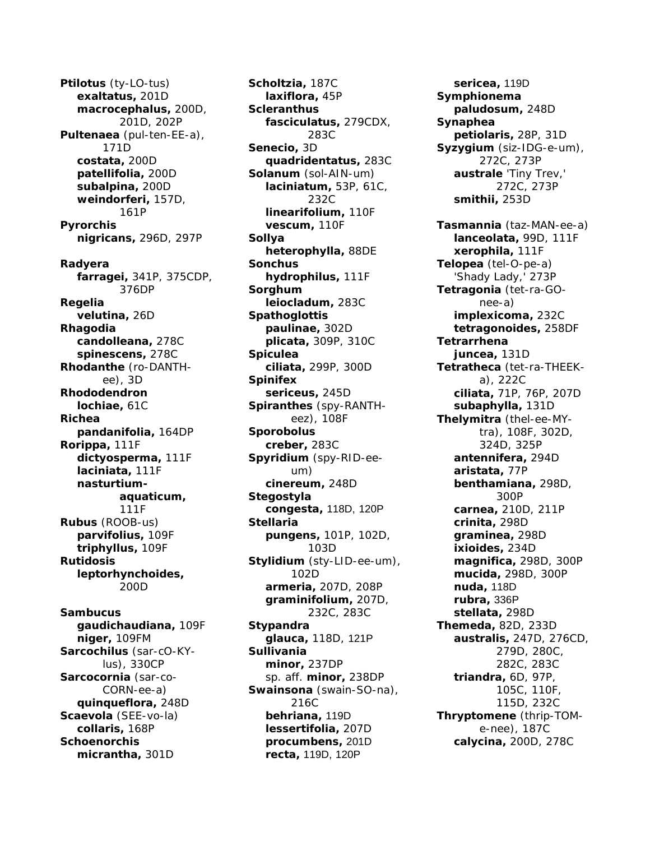*Ptilotus* (ty-LO-tus) *exaltatus,* 201D *macrocephalus,* 200D, 201D, 202P *Pultenaea* (pul-ten-EE-a), 171D *costata,* 200D *patellifolia,* 200D *subalpina,* 200D *weindorferi,* 157D, 161P *Pyrorchis nigricans,* 296D, 297P *Radyera farragei,* 341P, 375CDP, 376DP *Regelia velutina,* 26D *Rhagodia candolleana,* 278C *spinescens,* 278C *Rhodanthe* (ro-DANTHee), 3D *Rhododendron lochiae,* 61C *Richea pandanifolia,* 164DP *Rorippa,* 111F *dictyosperma,* 111F *laciniata,* 111F *nasturtiumaquaticum,* 111F *Rubus* (ROOB-us) *parvifolius,* 109F *triphyllus,* 109F *Rutidosis leptorhynchoides,* 200D *Sambucus gaudichaudiana,* 109F *niger,* 109FM *Sarcochilus* (sar-cO-KYlus), 330CP *Sarcocornia* (sar-co-CORN-ee-a) *quinqueflora,* 248D

*Scaevola* (SEE-vo-la) *collaris,* 168P *Schoenorchis*

*micrantha,* 301D

*Scholtzia,* 187C *laxiflora,* 45P *Scleranthus fasciculatus,* 279CDX, 283C *Senecio,* 3D *quadridentatus,* 283C *Solanum* (sol-AIN-um) *laciniatum,* 53P, 61C, 232C *linearifolium,* 110F *vescum,* 110F *Sollya heterophylla,* 88DE *Sonchus hydrophilus,* 111F *Sorghum leiocladum,* 283C *Spathoglottis paulinae,* 302D *plicata,* 309P, 310C *Spiculea ciliata,* 299P, 300D *Spinifex sericeus,* 245D *Spiranthes* (spy-RANTHeez), 108F *Sporobolus creber,* 283C *Spyridium* (spy-RID-eeum) *cinereum,* 248D *Stegostyla congesta,* 118D, 120P *Stellaria pungens,* 101P, 102D, 103D *Stylidium* (sty-LID-ee-um), 102D *armeria,* 207D, 208P *graminifolium,* 207D, 232C, 283C *Stypandra glauca,* 118D, 121P *Sullivania minor,* 237DP sp. aff. *minor,* 238DP *Swainsona* (swain-SO-na), 216C *behriana,* 119D *lessertifolia,* 207D *procumbens,* 201D *recta,* 119D, 120P

*sericea,* 119D *Symphionema paludosum,* 248D *Synaphea petiolaris,* 28P, 31D *Syzygium* (siz-IDG-e-um), 272C, 273P *australe* 'Tiny Trev,' 272C, 273P *smithii,* 253D *Tasmannia* (taz-MAN-ee-a) *lanceolata,* 99D, 111F *xerophila,* 111F *Telopea* (tel-O-pe-a) 'Shady Lady,' 273P *Tetragonia* (tet-ra-GOnee-a) *implexicoma,* 232C *tetragonoides,* 258DF *Tetrarrhena juncea,* 131D *Tetratheca* (tet-ra-THEEKa), 222C *ciliata,* 71P, 76P, 207D *subaphylla,* 131D *Thelymitra* (thel-ee-MYtra), 108F, 302D, 324D, 325P *antennifera,* 294D *aristata,* 77P *benthamiana,* 298D, 300P *carnea,* 210D, 211P *crinita,* 298D *graminea,* 298D *ixioides,* 234D *magnifica,* 298D, 300P *mucida,* 298D, 300P *nuda,* 118D *rubra,* 336P *stellata,* 298D *Themeda,* 82D, 233D *australis,* 247D, 276CD, 279D, 280C, 282C, 283C *triandra,* 6D, 97P, 105C, 110F, 115D, 232C *Thryptomene* (thrip-TOMe-nee), 187C *calycina,* 200D, 278C